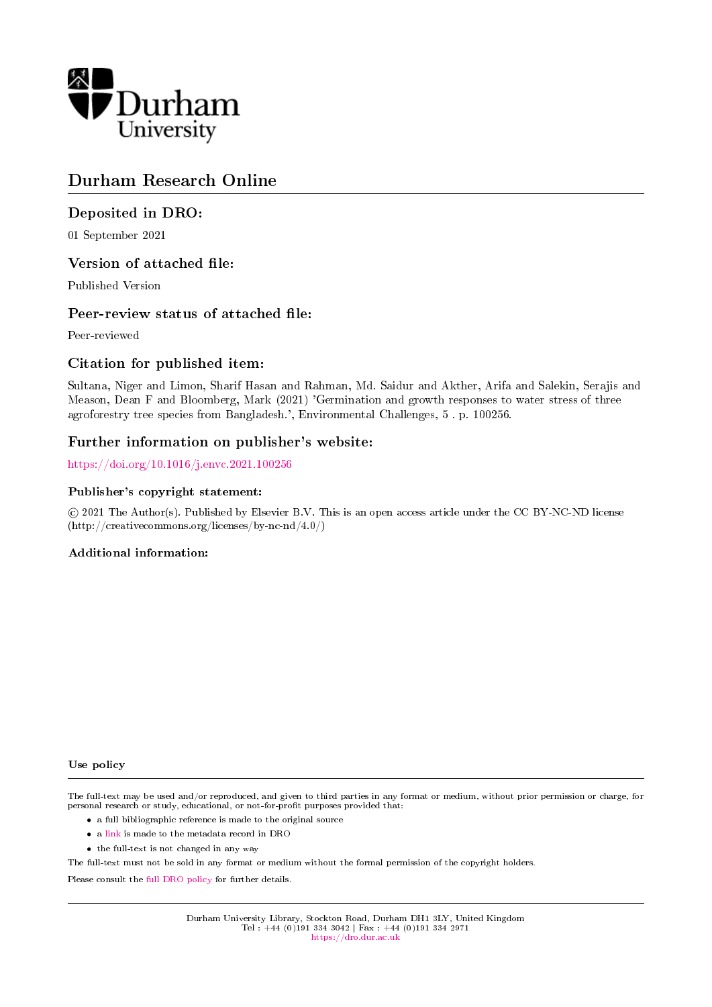

# Durham Research Online

# Deposited in DRO:

01 September 2021

# Version of attached file:

Published Version

# Peer-review status of attached file:

Peer-reviewed

# Citation for published item:

Sultana, Niger and Limon, Sharif Hasan and Rahman, Md. Saidur and Akther, Arifa and Salekin, Serajis and Meason, Dean F and Bloomberg, Mark (2021) 'Germination and growth responses to water stress of three agroforestry tree species from Bangladesh.', Environmental Challenges, 5 . p. 100256.

# Further information on publisher's website:

<https://doi.org/10.1016/j.envc.2021.100256>

# Publisher's copyright statement:

 c 2021 The Author(s). Published by Elsevier B.V. This is an open access article under the CC BY-NC-ND license (http://creativecommons.org/licenses/by-nc-nd/4.0/)

# Additional information:

Use policy

The full-text may be used and/or reproduced, and given to third parties in any format or medium, without prior permission or charge, for personal research or study, educational, or not-for-profit purposes provided that:

- a full bibliographic reference is made to the original source
- a [link](http://dro.dur.ac.uk/33710/) is made to the metadata record in DRO
- the full-text is not changed in any way

The full-text must not be sold in any format or medium without the formal permission of the copyright holders.

Please consult the [full DRO policy](https://dro.dur.ac.uk/policies/usepolicy.pdf) for further details.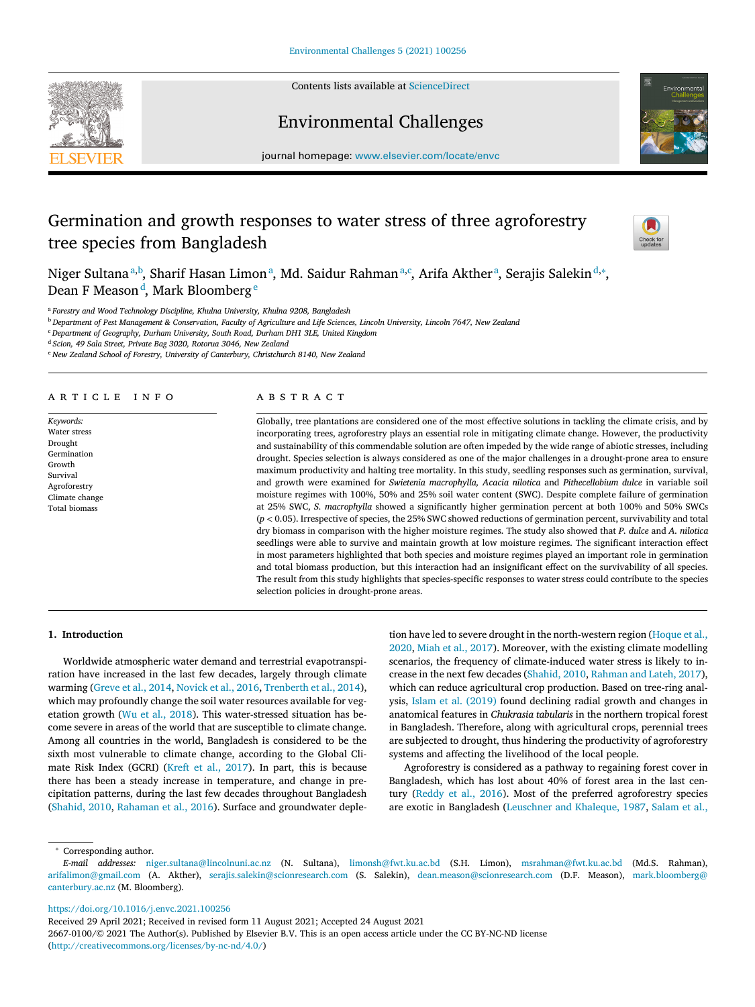

Contents lists available at [ScienceDirect](http://www.ScienceDirect.com)

# Environmental Challenges



journal homepage: [www.elsevier.com/locate/envc](http://www.elsevier.com/locate/envc)

# Germination and growth responses to water stress of three agroforestry tree species from Bangladesh



Niger Sultana™<sup>a,b</sup>, Sharif Hasan Limon®, Md. Saidur Rahman®,¢, Arifa Akther®, Serajis Salekin®,\*, Dean F Meason<sup>d</sup>, Mark Bloomberg<sup>e</sup>

<sup>a</sup> *Forestry and Wood Technology Discipline, Khulna University, Khulna 9208, Bangladesh*

<sup>b</sup> Department of Pest Management & Conservation, Faculty of Agriculture and Life Sciences, Lincoln University, Lincoln 7647, New Zealand

<sup>c</sup> *Department of Geography, Durham University, South Road, Durham DH1 3LE, United Kingdom*

<sup>d</sup> *Scion, 49 Sala Street, Private Bag 3020, Rotorua 3046, New Zealand*

<sup>e</sup> *New Zealand School of Forestry, University of Canterbury, Christchurch 8140, New Zealand*

# a r t i c l e i n f o

*Keywords:* Water stress Drought Germination Growth Survival Agroforestry Climate change Total biomass

# A B S T B A C T

Globally, tree plantations are considered one of the most effective solutions in tackling the climate crisis, and by incorporating trees, agroforestry plays an essential role in mitigating climate change. However, the productivity and sustainability of this commendable solution are often impeded by the wide range of abiotic stresses, including drought. Species selection is always considered as one of the major challenges in a drought-prone area to ensure maximum productivity and halting tree mortality. In this study, seedling responses such as germination, survival, and growth were examined for *Swietenia macrophylla, Acacia nilotica* and *Pithecellobium dulce* in variable soil moisture regimes with 100%, 50% and 25% soil water content (SWC). Despite complete failure of germination at 25% SWC, *S. macrophylla* showed a significantly higher germination percent at both 100% and 50% SWCs (*p <* 0.05). Irrespective of species, the 25% SWC showed reductions of germination percent, survivability and total dry biomass in comparison with the higher moisture regimes. The study also showed that *P. dulce* and *A. nilotica* seedlings were able to survive and maintain growth at low moisture regimes. The significant interaction effect in most parameters highlighted that both species and moisture regimes played an important role in germination and total biomass production, but this interaction had an insignificant effect on the survivability of all species. The result from this study highlights that species-specific responses to water stress could contribute to the species selection policies in drought-prone areas.

# **1. Introduction**

Worldwide atmospheric water demand and terrestrial evapotranspiration have increased in the last few decades, largely through climate warming [\(Greve](#page-6-0) et al., 2014, [Novick](#page-6-0) et al., 2016, [Trenberth](#page-6-0) et al., 2014), which may profoundly change the soil water resources available for vegetation growth (Wu et al., [2018\)](#page-6-0). This water-stressed situation has become severe in areas of the world that are susceptible to climate change. Among all countries in the world, Bangladesh is considered to be the sixth most vulnerable to climate change, according to the Global Climate Risk Index (GCRI) (Kreft et al., [2017\)](#page-6-0). In part, this is because there has been a steady increase in temperature, and change in precipitation patterns, during the last few decades throughout Bangladesh [\(Shahid,](#page-6-0) 2010, [Rahaman](#page-6-0) et al., 2016). Surface and groundwater deple-

tion have led to severe drought in the [north-western](#page-6-0) region (Hoque et al., 2020, Miah et al., [2017\)](#page-6-0). Moreover, with the existing climate modelling scenarios, the frequency of climate-induced water stress is likely to increase in the next few decades [\(Shahid,](#page-6-0) 2010, [Rahman](#page-6-0) and Lateh, 2017), which can reduce agricultural crop production. Based on tree-ring analysis, Islam et al. [\(2019\)](#page-6-0) found declining radial growth and changes in anatomical features in *Chukrasia tabularis* in the northern tropical forest in Bangladesh. Therefore, along with agricultural crops, perennial trees are subjected to drought, thus hindering the productivity of agroforestry systems and affecting the livelihood of the local people.

Agroforestry is considered as a pathway to regaining forest cover in Bangladesh, which has lost about 40% of forest area in the last century [\(Reddy](#page-6-0) et al., 2016). Most of the preferred agroforestry species are exotic in Bangladesh [\(Leuschner](#page-6-0) and Khaleque, 1987, [Salam](#page-6-0) et al.,

<sup>∗</sup> Corresponding author.

<https://doi.org/10.1016/j.envc.2021.100256>

Received 29 April 2021; Received in revised form 11 August 2021; Accepted 24 August 2021

2667-0100/© 2021 The Author(s). Published by Elsevier B.V. This is an open access article under the CC BY-NC-ND license [\(http://creativecommons.org/licenses/by-nc-nd/4.0/\)](http://creativecommons.org/licenses/by-nc-nd/4.0/)

*E-mail addresses:* [niger.sultana@lincolnuni.ac.nz](mailto:niger.sultana@lincolnuni.ac.nz) (N. Sultana), [limonsh@fwt.ku.ac.bd](mailto:limonsh@fwt.ku.ac.bd) (S.H. Limon), [msrahman@fwt.ku.ac.bd](mailto:msrahman@fwt.ku.ac.bd) (Md.S. Rahman), [arifalimon@gmail.com](mailto:arifalimon@gmail.com) (A. Akther), [serajis.salekin@scionresearch.com](mailto:serajis.salekin@scionresearch.com) (S. Salekin), [dean.meason@scionresearch.com](mailto:dean.meason@scionresearch.com) (D.F. Meason), mark.bloomberg@ canterbury.ac.nz (M. Bloomberg).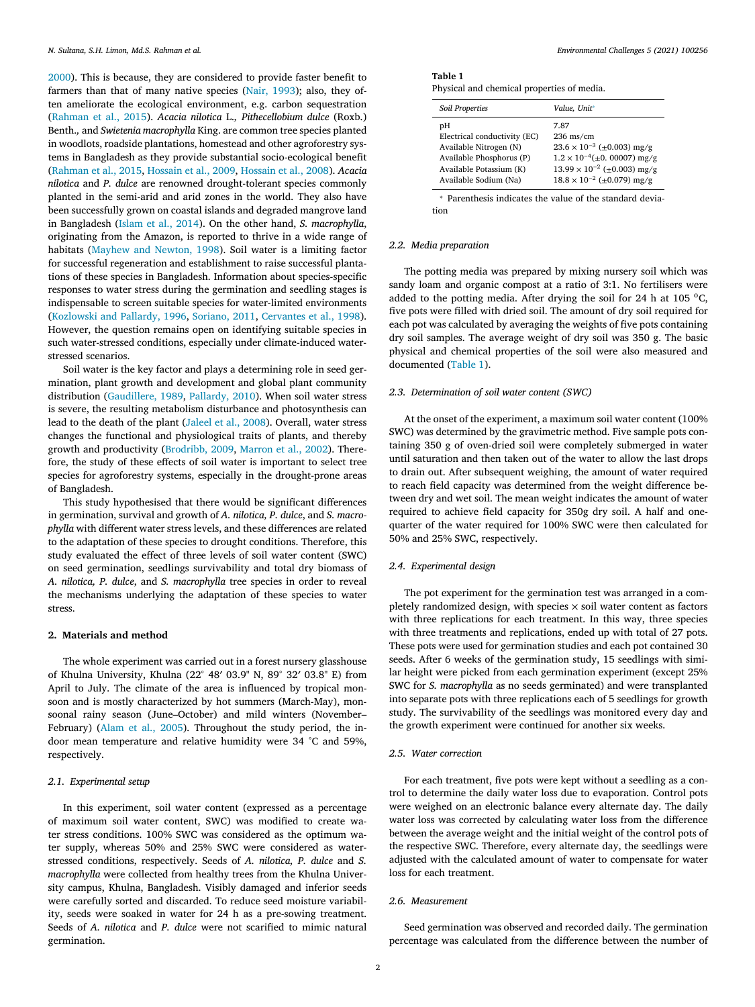[2000\)](#page-6-0). This is because, they are considered to provide faster benefit to farmers than that of many native species (Nair, [1993\)](#page-6-0); also, they often ameliorate the ecological environment, e.g. carbon sequestration [\(Rahman](#page-6-0) et al., 2015). *Acacia nilotica* L.*, Pithecellobium dulce* (Roxb.) Benth.*,* and *Swietenia macrophylla* King. are common tree species planted in woodlots, roadside plantations, homestead and other agroforestry systems in Bangladesh as they provide substantial socio-ecological benefit [\(Rahman](#page-6-0) et al., 2015, [Hossain](#page-6-0) et al., 2009, [Hossain](#page-6-0) et al., 2008). *Acacia nilotica* and *P. dulce* are renowned drought-tolerant species commonly planted in the semi-arid and arid zones in the world. They also have been successfully grown on coastal islands and degraded mangrove land in Bangladesh [\(Islam](#page-6-0) et al., 2014). On the other hand, *S. macrophylla*, originating from the Amazon, is reported to thrive in a wide range of habitats [\(Mayhew](#page-6-0) and Newton, 1998). Soil water is a limiting factor for successful regeneration and establishment to raise successful plantations of these species in Bangladesh. Information about species-specific responses to water stress during the germination and seedling stages is indispensable to screen suitable species for water-limited environments [\(Kozlowski](#page-6-0) and Pallardy, 1996, [Soriano,](#page-6-0) 2011, [Cervantes](#page-6-0) et al., 1998). However, the question remains open on identifying suitable species in such water-stressed conditions, especially under climate-induced waterstressed scenarios.

Soil water is the key factor and plays a determining role in seed germination, plant growth and development and global plant community distribution [\(Gaudillere,](#page-6-0) 1989, [Pallardy,](#page-6-0) 2010). When soil water stress is severe, the resulting metabolism disturbance and photosynthesis can lead to the death of the plant [\(Jaleel](#page-6-0) et al., 2008). Overall, water stress changes the functional and physiological traits of plants, and thereby growth and productivity [\(Brodribb,](#page-6-0) 2009, [Marron](#page-6-0) et al., 2002). Therefore, the study of these effects of soil water is important to select tree species for agroforestry systems, especially in the drought-prone areas of Bangladesh.

This study hypothesised that there would be significant differences in germination, survival and growth of *A. nilotica, P. dulce*, and *S. macrophylla* with different water stress levels, and these differences are related to the adaptation of these species to drought conditions. Therefore, this study evaluated the effect of three levels of soil water content (SWC) on seed germination, seedlings survivability and total dry biomass of *A. nilotica, P. dulce*, and *S. macrophylla* tree species in order to reveal the mechanisms underlying the adaptation of these species to water stress.

### **2. Materials and method**

The whole experiment was carried out in a forest nursery glasshouse of Khulna University, Khulna (22° 48′ 03.9" N, 89° 32′ 03.8" E) from April to July. The climate of the area is influenced by tropical monsoon and is mostly characterized by hot summers (March-May), monsoonal rainy season (June–October) and mild winters (November– February) [\(Alam](#page-6-0) et al., 2005). Throughout the study period, the indoor mean temperature and relative humidity were 34 °C and 59%, respectively.

### *2.1. Experimental setup*

In this experiment, soil water content (expressed as a percentage of maximum soil water content, SWC) was modified to create water stress conditions. 100% SWC was considered as the optimum water supply, whereas 50% and 25% SWC were considered as waterstressed conditions, respectively. Seeds of *A. nilotica, P. dulce* and *S. macrophylla* were collected from healthy trees from the Khulna University campus, Khulna, Bangladesh. Visibly damaged and inferior seeds were carefully sorted and discarded. To reduce seed moisture variability, seeds were soaked in water for 24 h as a pre-sowing treatment. Seeds of *A. nilotica* and *P. dulce* were not scarified to mimic natural germination.

| Table 1                                    |  |
|--------------------------------------------|--|
| Physical and chemical properties of media. |  |

| Soil Properties              | Value, Unit*                            |
|------------------------------|-----------------------------------------|
| рH                           | 7.87                                    |
| Electrical conductivity (EC) | $236$ ms/cm                             |
| Available Nitrogen (N)       | $23.6 \times 10^{-3}$ (±0.003) mg/g     |
| Available Phosphorus (P)     | $1.2 \times 10^{-4} (\pm 0.00007)$ mg/g |
| Available Potassium (K)      | $13.99 \times 10^{-2}$ (±0.003) mg/g    |
| Available Sodium (Na)        | $18.8 \times 10^{-2}$ (±0.079) mg/g     |

<sup>∗</sup> Parenthesis indicates the value of the standard deviation

### *2.2. Media preparation*

The potting media was prepared by mixing nursery soil which was sandy loam and organic compost at a ratio of 3:1. No fertilisers were added to the potting media. After drying the soil for 24 h at 105  $^{\circ}$ C, five pots were filled with dried soil. The amount of dry soil required for each pot was calculated by averaging the weights of five pots containing dry soil samples. The average weight of dry soil was 350 g. The basic physical and chemical properties of the soil were also measured and documented (Table 1).

# *2.3. Determination of soil water content (SWC)*

At the onset of the experiment, a maximum soil water content (100% SWC) was determined by the gravimetric method. Five sample pots containing 350 g of oven-dried soil were completely submerged in water until saturation and then taken out of the water to allow the last drops to drain out. After subsequent weighing, the amount of water required to reach field capacity was determined from the weight difference between dry and wet soil. The mean weight indicates the amount of water required to achieve field capacity for 350g dry soil. A half and onequarter of the water required for 100% SWC were then calculated for 50% and 25% SWC, respectively.

#### *2.4. Experimental design*

The pot experiment for the germination test was arranged in a completely randomized design, with species  $\times$  soil water content as factors with three replications for each treatment. In this way, three species with three treatments and replications, ended up with total of 27 pots. These pots were used for germination studies and each pot contained 30 seeds. After 6 weeks of the germination study, 15 seedlings with similar height were picked from each germination experiment (except 25% SWC for *S. macrophylla* as no seeds germinated) and were transplanted into separate pots with three replications each of 5 seedlings for growth study. The survivability of the seedlings was monitored every day and the growth experiment were continued for another six weeks.

#### *2.5. Water correction*

For each treatment, five pots were kept without a seedling as a control to determine the daily water loss due to evaporation. Control pots were weighed on an electronic balance every alternate day. The daily water loss was corrected by calculating water loss from the difference between the average weight and the initial weight of the control pots of the respective SWC. Therefore, every alternate day, the seedlings were adjusted with the calculated amount of water to compensate for water loss for each treatment.

# *2.6. Measurement*

Seed germination was observed and recorded daily. The germination percentage was calculated from the difference between the number of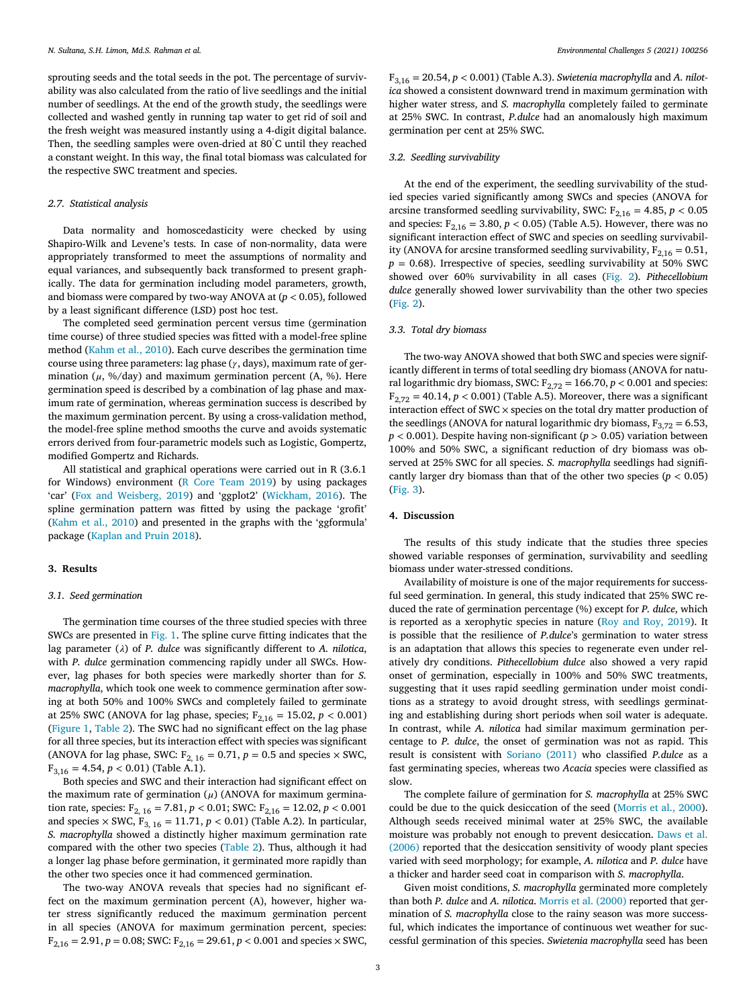sprouting seeds and the total seeds in the pot. The percentage of survivability was also calculated from the ratio of live seedlings and the initial number of seedlings. At the end of the growth study, the seedlings were collected and washed gently in running tap water to get rid of soil and the fresh weight was measured instantly using a 4-digit digital balance. Then, the seedling samples were oven-dried at 80° C until they reached a constant weight. In this way, the final total biomass was calculated for the respective SWC treatment and species.

#### *2.7. Statistical analysis*

Data normality and homoscedasticity were checked by using Shapiro-Wilk and Levene's tests. In case of non-normality, data were appropriately transformed to meet the assumptions of normality and equal variances, and subsequently back transformed to present graphically. The data for germination including model parameters, growth, and biomass were compared by two-way ANOVA at (*p <* 0.05), followed by a least significant difference (LSD) post hoc test.

The completed seed germination percent versus time (germination time course) of three studied species was fitted with a model-free spline method [\(Kahm](#page-6-0) et al., 2010). Each curve describes the germination time course using three parameters: lag phase  $(y, days)$ , maximum rate of germination ( $\mu$ , %/day) and maximum germination percent (A, %). Here germination speed is described by a combination of lag phase and maximum rate of germination, whereas germination success is described by the maximum germination percent. By using a cross-validation method, the model-free spline method smooths the curve and avoids systematic errors derived from four-parametric models such as Logistic, Gompertz, modified Gompertz and Richards.

All statistical and graphical operations were carried out in R (3.6.1 for Windows) environment (R Core [Team](#page-6-0) 2019) by using packages 'car' (Fox and [Weisberg,](#page-6-0) 2019) and 'ggplot2' [\(Wickham,](#page-6-0) 2016). The spline germination pattern was fitted by using the package 'grofit' [\(Kahm](#page-6-0) et al., 2010) and presented in the graphs with the 'ggformula' package [\(Kaplan](#page-6-0) and Pruin 2018).

#### **3. Results**

#### *3.1. Seed germination*

The germination time courses of the three studied species with three SWCs are presented in [Fig.](#page-4-0) 1. The spline curve fitting indicates that the lag parameter  $(\lambda)$  of *P. dulce* was significantly different to *A. nilotica*, with *P. dulce* germination commencing rapidly under all SWCs. However, lag phases for both species were markedly shorter than for *S. macrophylla*, which took one week to commence germination after sowing at both 50% and 100% SWCs and completely failed to germinate at 25% SWC (ANOVA for lag phase, species;  $F_{2,16} = 15.02$ ,  $p < 0.001$ ) [\(Figure](#page-4-0) 1, [Table](#page-5-0) 2). The SWC had no significant effect on the lag phase for all three species, but its interaction effect with species was significant (ANOVA for lag phase, SWC:  $F_{2, 16} = 0.71$ ,  $p = 0.5$  and species  $\times$  SWC,  $F_{3,16} = 4.54, p < 0.01$ ) (Table A.1).

Both species and SWC and their interaction had significant effect on the maximum rate of germination  $(\mu)$  (ANOVA for maximum germination rate, species:  $F_{2, 16} = 7.81, p < 0.01$ ; SWC:  $F_{2, 16} = 12.02, p < 0.001$ and species  $\times$  SWC,  $F_{3, 16} = 11.71$ ,  $p < 0.01$ ) (Table A.2). In particular, *S. macrophylla* showed a distinctly higher maximum germination rate compared with the other two species [\(Table](#page-5-0) 2). Thus, although it had a longer lag phase before germination, it germinated more rapidly than the other two species once it had commenced germination.

The two-way ANOVA reveals that species had no significant effect on the maximum germination percent (A), however, higher water stress significantly reduced the maximum germination percent in all species (ANOVA for maximum germination percent, species:  $F_{2,16} = 2.91, p = 0.08$ ; SWC:  $F_{2,16} = 29.61, p < 0.001$  and species  $\times$  SWC,

 $F_{3,16} = 20.54$ ,  $p < 0.001$ ) (Table A.3). *Swietenia macrophylla* and A. *nilotica* showed a consistent downward trend in maximum germination with higher water stress, and *S. macrophylla* completely failed to germinate at 25% SWC. In contrast, *P.dulce* had an anomalously high maximum germination per cent at 25% SWC.

### *3.2. Seedling survivability*

At the end of the experiment, the seedling survivability of the studied species varied significantly among SWCs and species (ANOVA for arcsine transformed seedling survivability, SWC:  $F_{2,16} = 4.85$ ,  $p < 0.05$ and species:  $F_{2,16} = 3.80, p < 0.05$ ) (Table A.5). However, there was no significant interaction effect of SWC and species on seedling survivability (ANOVA for arcsine transformed seedling survivability,  $F_{2,16} = 0.51$ ,  $p = 0.68$ ). Irrespective of species, seedling survivability at 50% SWC showed over 60% survivability in all cases [\(Fig.](#page-5-0) 2). *Pithecellobium dulce* generally showed lower survivability than the other two species [\(Fig.](#page-5-0) 2).

### *3.3. Total dry biomass*

The two-way ANOVA showed that both SWC and species were significantly different in terms of total seedling dry biomass (ANOVA for natural logarithmic dry biomass, SWC:  $F_{2,72} = 166.70$ ,  $p < 0.001$  and species:  $F_{2,72} = 40.14, p < 0.001$ ) (Table A.5). Moreover, there was a significant interaction effect of SWC  $\times$  species on the total dry matter production of the seedlings (ANOVA for natural logarithmic dry biomass,  $F_{3,72} = 6.53$ , *p <* 0.001). Despite having non-significant (*p >* 0.05) variation between 100% and 50% SWC, a significant reduction of dry biomass was observed at 25% SWC for all species. *S. macrophylla* seedlings had significantly larger dry biomass than that of the other two species ( $p < 0.05$ ) [\(Fig.](#page-5-0) 3).

#### **4. Discussion**

The results of this study indicate that the studies three species showed variable responses of germination, survivability and seedling biomass under water-stressed conditions.

Availability of moisture is one of the major requirements for successful seed germination. In general, this study indicated that 25% SWC reduced the rate of germination percentage (%) except for *P. dulce*, which is reported as a xerophytic species in nature (Roy and Roy, [2019\)](#page-6-0). It is possible that the resilience of *P.dulce*'s germination to water stress is an adaptation that allows this species to regenerate even under relatively dry conditions. *Pithecellobium dulce* also showed a very rapid onset of germination, especially in 100% and 50% SWC treatments, suggesting that it uses rapid seedling germination under moist conditions as a strategy to avoid drought stress, with seedlings germinating and establishing during short periods when soil water is adequate. In contrast, while *A. nilotica* had similar maximum germination percentage to *P. dulce*, the onset of germination was not as rapid. This result is consistent with [Soriano](#page-6-0) (2011) who classified *P.dulce* as a fast germinating species, whereas two *Acacia* species were classified as slow.

The complete failure of germination for *S. macrophylla* at 25% SWC could be due to the quick desiccation of the seed [\(Morris](#page-6-0) et al., 2000). Although seeds received minimal water at 25% SWC, the available moisture was probably not enough to prevent [desiccation.](#page-6-0) Daws et al. (2006) reported that the desiccation sensitivity of woody plant species varied with seed morphology; for example, *A. nilotica* and *P. dulce* have a thicker and harder seed coat in comparison with *S. macrophylla*.

Given moist conditions, *S. macrophylla* germinated more completely than both *P. dulce* and *A. nilotica*. Morris et al. [\(2000\)](#page-6-0) reported that germination of *S. macrophylla* close to the rainy season was more successful, which indicates the importance of continuous wet weather for successful germination of this species. *Swietenia macrophylla* seed has been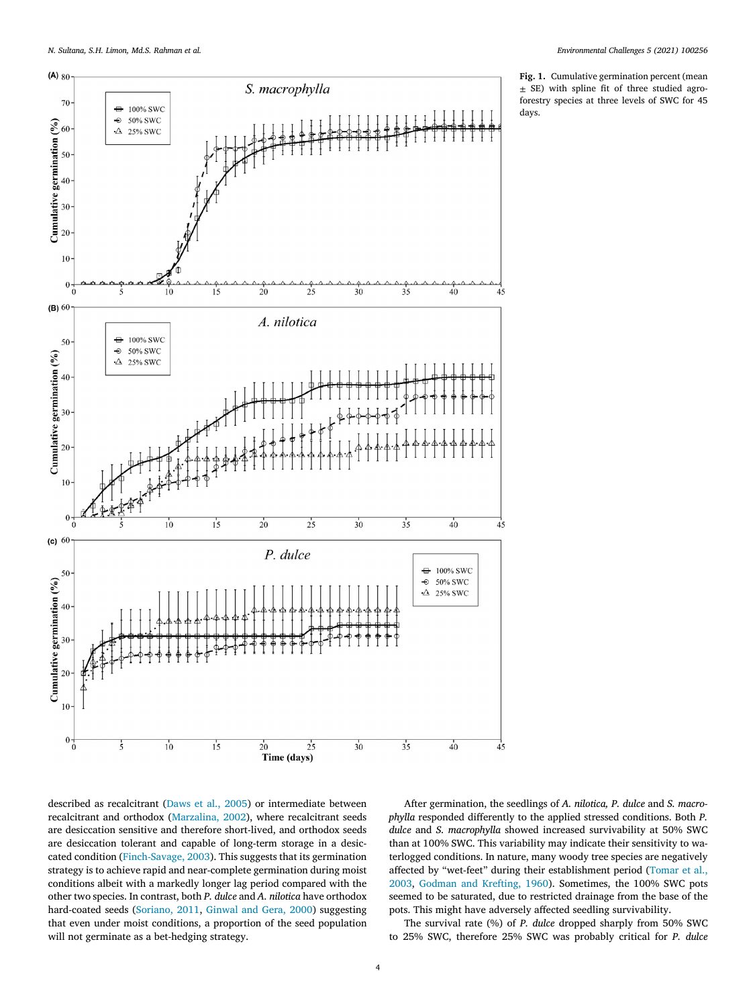<span id="page-4-0"></span>

**Fig. 1.** Cumulative germination percent (mean  $\pm$  SE) with spline fit of three studied agroforestry species at three levels of SWC for 45 days.

described as recalcitrant [\(Daws](#page-6-0) et al., 2005) or intermediate between recalcitrant and orthodox [\(Marzalina,](#page-6-0) 2002), where recalcitrant seeds are desiccation sensitive and therefore short-lived, and orthodox seeds are desiccation tolerant and capable of long-term storage in a desiccated condition [\(Finch-Savage,](#page-6-0) 2003). This suggests that its germination strategy is to achieve rapid and near-complete germination during moist conditions albeit with a markedly longer lag period compared with the other two species. In contrast, both *P. dulce* and *A. nilotica* have orthodox hard-coated seeds [\(Soriano,](#page-6-0) 2011, [Ginwal](#page-6-0) and Gera, 2000) suggesting that even under moist conditions, a proportion of the seed population will not germinate as a bet-hedging strategy.

After germination, the seedlings of *A. nilotica, P. dulce* and *S. macrophylla* responded differently to the applied stressed conditions. Both *P. dulce* and *S. macrophylla* showed increased survivability at 50% SWC than at 100% SWC. This variability may indicate their sensitivity to waterlogged conditions. In nature, many woody tree species are negatively affected by ["wet-feet" during](#page-6-0) their establishment period (Tomar et al., 2003, Godman and [Krefting,](#page-6-0) 1960). Sometimes, the 100% SWC pots seemed to be saturated, due to restricted drainage from the base of the pots. This might have adversely affected seedling survivability.

The survival rate (%) of *P. dulce* dropped sharply from 50% SWC to 25% SWC, therefore 25% SWC was probably critical for *P. dulce*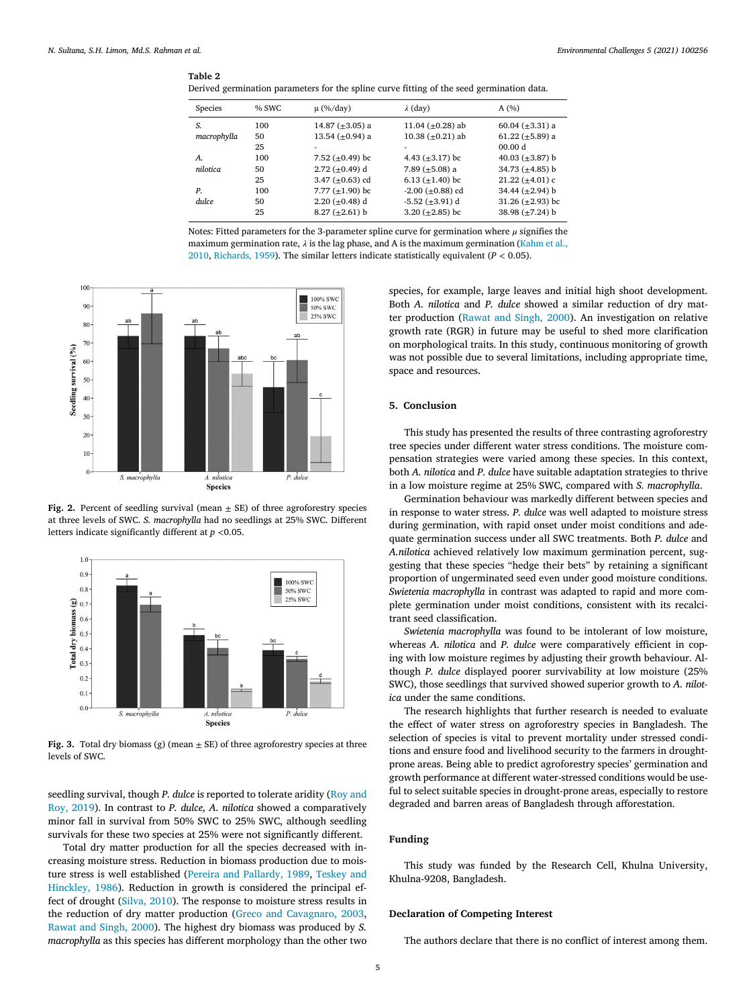#### <span id="page-5-0"></span>**Table 2**

|  |  |  | Derived germination parameters for the spline curve fitting of the seed germination data. |  |
|--|--|--|-------------------------------------------------------------------------------------------|--|
|  |  |  |                                                                                           |  |

| Species     | % SWC | $\mu$ (%/day)         | $\lambda$ (day)          | A(%)                   |
|-------------|-------|-----------------------|--------------------------|------------------------|
| S.          | 100   | 14.87 $(\pm 3.05)$ a  | 11.04 ( $\pm$ 0.28) ab   | 60.04 ( $\pm$ 3.31) a  |
| macrophylla | 50    | 13.54 ( $\pm$ 0.94) a | 10.38 $(\pm 0.21)$ ab    | 61.22 ( $\pm$ 5.89) a  |
|             | 25    |                       |                          | 00.00 d                |
| А.          | 100   | 7.52 ( $\pm$ 0.49) bc | 4.43 $(\pm 3.17)$ bc     | 40.03 $(\pm 3.87)$ b   |
| nilotica    | 50    | $2.72 (+0.49)$ d      | 7.89 $(\pm 5.08)$ a      | 34.73 $(\pm 4.85)$ b   |
|             | 25    | 3.47 $(\pm 0.63)$ cd  | 6.13 $(\pm 1.40)$ bc     | $21.22 \ (\pm 4.01) c$ |
| P.          | 100   | 7.77 $(\pm 1.90)$ bc  | $-2.00$ ( $\pm$ 0.88) cd | 34.44 $(\pm 2.94)$ b   |
| dulce       | 50    | 2.20 $(\pm 0.48)$ d   | $-5.52 \ (\pm 3.91) \ d$ | 31.26 $(\pm 2.93)$ bc  |
|             | 25    | $8.27 \ (\pm 2.61) b$ | 3.20 $(\pm 2.85)$ bc     | 38.98 $(\pm 7.24)$ b   |
|             |       |                       |                          |                        |

Notes: Fitted parameters for the 3-parameter spline curve for germination where  $\mu$  signifies the maximum [germination](#page-6-0) rate,  $\lambda$  is the lag phase, and A is the maximum germination (Kahm et al., 2010, [Richards,](#page-6-0) 1959). The similar letters indicate statistically equivalent (*P <* 0.05).



**Fig.** 2. Percent of seedling survival (mean  $\pm$  SE) of three agroforestry species at three levels of SWC. *S. macrophylla* had no seedlings at 25% SWC. Different letters indicate significantly different at *p <*0.05.



**Fig. 3.** Total dry biomass (g) (mean  $\pm$  SE) of three agroforestry species at three levels of SWC.

seedling survival, though *P. dulce* is reported to tolerate aridity (Roy and Roy, 2019). In contrast to *P. dulce, A. nilotica* showed a [comparatively](#page-6-0) minor fall in survival from 50% SWC to 25% SWC, although seedling survivals for these two species at 25% were not significantly different.

Total dry matter production for all the species decreased with increasing moisture stress. Reduction in biomass production due to moisture stress is well [established](#page-6-0) (Pereira and [Pallardy,](#page-6-0) 1989, Teskey and Hinckley, 1986). Reduction in growth is considered the principal effect of drought [\(Silva,](#page-6-0) 2010). The response to moisture stress results in the reduction of dry matter production (Greco and [Cavagnaro,](#page-6-0) 2003, [Rawat](#page-6-0) and Singh, 2000). The highest dry biomass was produced by *S. macrophylla* as this species has different morphology than the other two

species, for example, large leaves and initial high shoot development. Both *A. nilotica* and *P. dulce* showed a similar reduction of dry matter production [\(Rawat](#page-6-0) and Singh, 2000). An investigation on relative growth rate (RGR) in future may be useful to shed more clarification on morphological traits. In this study, continuous monitoring of growth was not possible due to several limitations, including appropriate time, space and resources.

# **5. Conclusion**

This study has presented the results of three contrasting agroforestry tree species under different water stress conditions. The moisture compensation strategies were varied among these species. In this context, both *A. nilotica* and *P. dulce* have suitable adaptation strategies to thrive in a low moisture regime at 25% SWC, compared with *S. macrophylla*.

Germination behaviour was markedly different between species and in response to water stress. *P. dulce* was well adapted to moisture stress during germination, with rapid onset under moist conditions and adequate germination success under all SWC treatments. Both *P. dulce* and *A.nilotica* achieved relatively low maximum germination percent, suggesting that these species "hedge their bets" by retaining a significant proportion of ungerminated seed even under good moisture conditions. *Swietenia macrophylla* in contrast was adapted to rapid and more complete germination under moist conditions, consistent with its recalcitrant seed classification.

*Swietenia macrophylla* was found to be intolerant of low moisture, whereas *A. nilotica* and *P. dulce* were comparatively efficient in coping with low moisture regimes by adjusting their growth behaviour. Although *P. dulce* displayed poorer survivability at low moisture (25% SWC), those seedlings that survived showed superior growth to *A. nilotica* under the same conditions.

The research highlights that further research is needed to evaluate the effect of water stress on agroforestry species in Bangladesh. The selection of species is vital to prevent mortality under stressed conditions and ensure food and livelihood security to the farmers in droughtprone areas. Being able to predict agroforestry species' germination and growth performance at different water-stressed conditions would be useful to select suitable species in drought-prone areas, especially to restore degraded and barren areas of Bangladesh through afforestation.

# **Funding**

This study was funded by the Research Cell, Khulna University, Khulna-9208, Bangladesh.

# **Declaration of Competing Interest**

The authors declare that there is no conflict of interest among them.